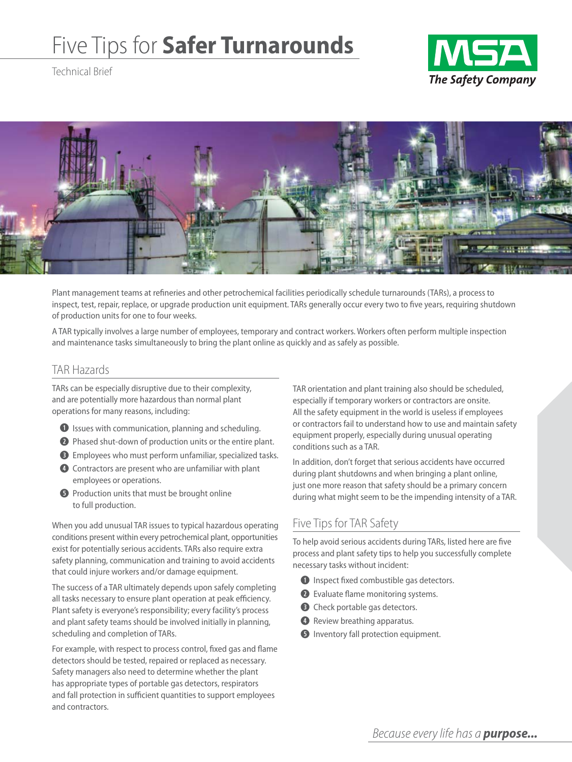# Five Tips for **Safer Turnarounds**

Technical Brief





Plant management teams at refineries and other petrochemical facilities periodically schedule turnarounds (TARs), a process to inspect, test, repair, replace, or upgrade production unit equipment. TARs generally occur every two to five years, requiring shutdown of production units for one to four weeks.

A TAR typically involves a large number of employees, temporary and contract workers. Workers often perform multiple inspection and maintenance tasks simultaneously to bring the plant online as quickly and as safely as possible.

#### TAR Hazards

TARs can be especially disruptive due to their complexity, and are potentially more hazardous than normal plant operations for many reasons, including:

- **q** Issues with communication, planning and scheduling.
- **2** Phased shut-down of production units or the entire plant.
- **e** Employees who must perform unfamiliar, specialized tasks.
- **4** Contractors are present who are unfamiliar with plant employees or operations.
- **f** Production units that must be brought online to full production.

When you add unusual TAR issues to typical hazardous operating conditions present within every petrochemical plant, opportunities exist for potentially serious accidents. TARs also require extra safety planning, communication and training to avoid accidents that could injure workers and/or damage equipment.

The success of a TAR ultimately depends upon safely completing all tasks necessary to ensure plant operation at peak efficiency. Plant safety is everyone's responsibility; every facility's process and plant safety teams should be involved initially in planning, scheduling and completion of TARs.

For example, with respect to process control, fixed gas and flame detectors should be tested, repaired or replaced as necessary. Safety managers also need to determine whether the plant has appropriate types of portable gas detectors, respirators and fall protection in sufficient quantities to support employees and contractors.

TAR orientation and plant training also should be scheduled, especially if temporary workers or contractors are onsite. All the safety equipment in the world is useless if employees or contractors fail to understand how to use and maintain safety equipment properly, especially during unusual operating conditions such as a TAR.

In addition, don't forget that serious accidents have occurred during plant shutdowns and when bringing a plant online, just one more reason that safety should be a primary concern during what might seem to be the impending intensity of a TAR.

### Five Tips for TAR Safety

To help avoid serious accidents during TARs, listed here are five process and plant safety tips to help you successfully complete necessary tasks without incident:

- **q** Inspect fixed combustible gas detectors.
- **<sup>2</sup>** Evaluate flame monitoring systems.
- $\bullet$  Check portable gas detectors.
- *<b>* Review breathing apparatus.
- $\bullet$  Inventory fall protection equipment.